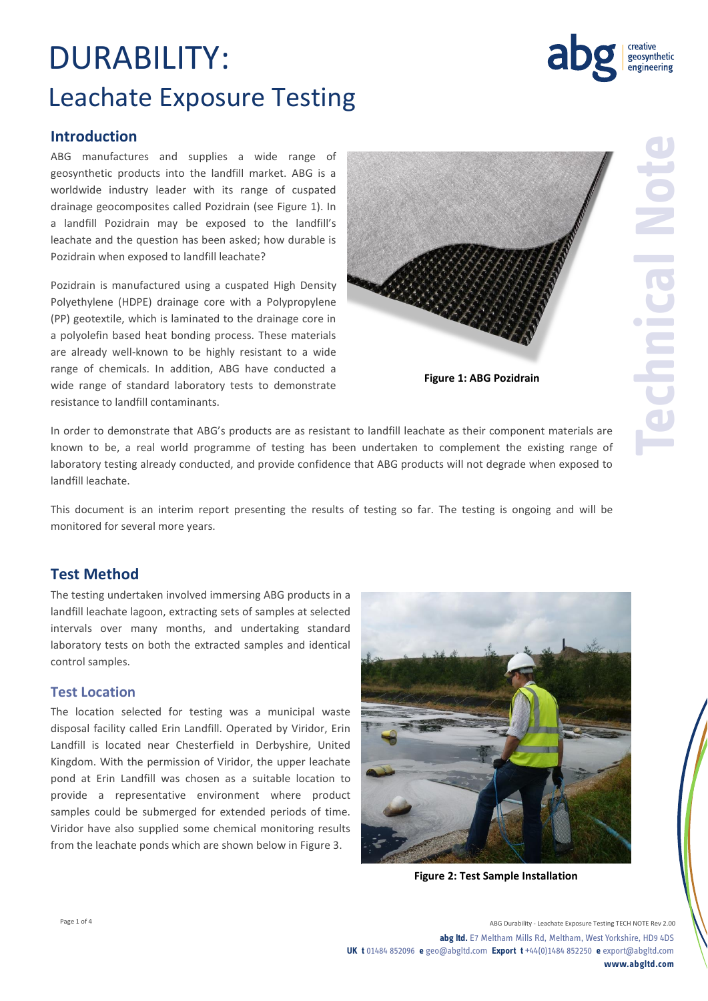## DURABILITY: Leachate Exposure Testing



#### **Introduction**

ABG manufactures and supplies a wide range of geosynthetic products into the landfill market. ABG is a worldwide industry leader with its range of cuspated drainage geocomposites called Pozidrain (see Figure 1). In a landfill Pozidrain may be exposed to the landfill's leachate and the question has been asked; how durable is Pozidrain when exposed to landfill leachate?

Pozidrain is manufactured using a cuspated High Density Polyethylene (HDPE) drainage core with a Polypropylene (PP) geotextile, which is laminated to the drainage core in a polyolefin based heat bonding process. These materials are already well-known to be highly resistant to a wide range of chemicals. In addition, ABG have conducted a wide range of standard laboratory tests to demonstrate resistance to landfill contaminants.



**Figure 1: ABG Pozidrain**

In order to demonstrate that ABG's products are as resistant to landfill leachate as their component materials are known to be, a real world programme of testing has been undertaken to complement the existing range of laboratory testing already conducted, and provide confidence that ABG products will not degrade when exposed to landfill leachate.

This document is an interim report presenting the results of testing so far. The testing is ongoing and will be monitored for several more years.

#### **Test Method**

The testing undertaken involved immersing ABG products in a landfill leachate lagoon, extracting sets of samples at selected intervals over many months, and undertaking standard laboratory tests on both the extracted samples and identical control samples.

#### **Test Location**

The location selected for testing was a municipal waste disposal facility called Erin Landfill. Operated by Viridor, Erin Landfill is located near Chesterfield in Derbyshire, United Kingdom. With the permission of Viridor, the upper leachate pond at Erin Landfill was chosen as a suitable location to provide a representative environment where product samples could be submerged for extended periods of time. Viridor have also supplied some chemical monitoring results from the leachate ponds which are shown below in Figure 3.



**Figure 2: Test Sample Installation**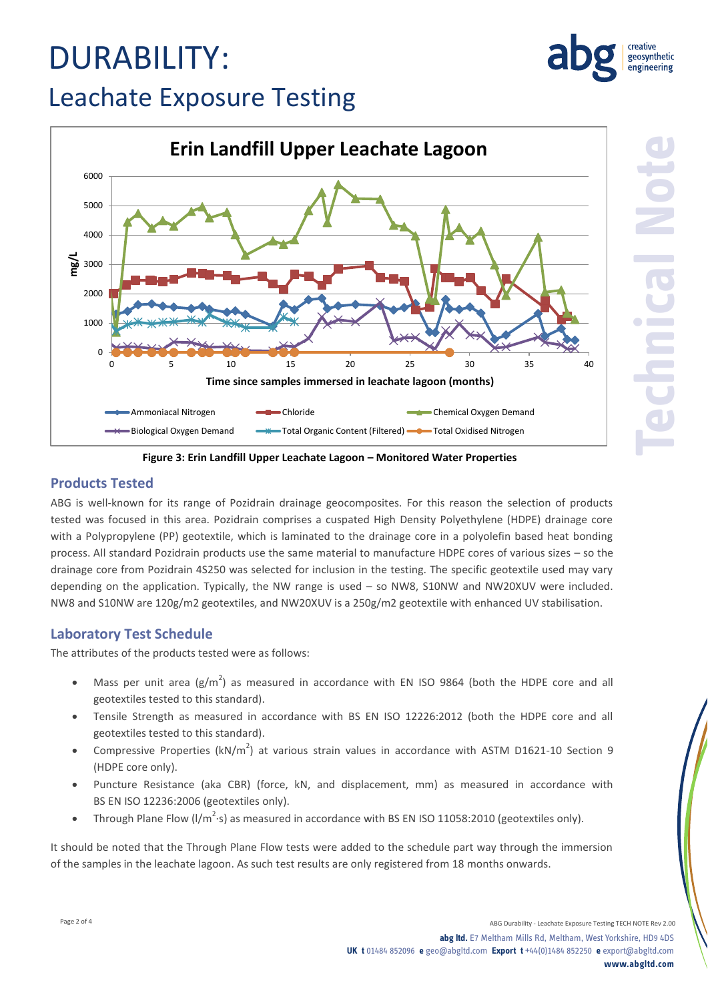# DURABILITY:



### Leachate Exposure Testing



**Figure 3: Erin Landfill Upper Leachate Lagoon – Monitored Water Properties**

#### **Products Tested**

ABG is well-known for its range of Pozidrain drainage geocomposites. For this reason the selection of products tested was focused in this area. Pozidrain comprises a cuspated High Density Polyethylene (HDPE) drainage core with a Polypropylene (PP) geotextile, which is laminated to the drainage core in a polyolefin based heat bonding process. All standard Pozidrain products use the same material to manufacture HDPE cores of various sizes – so the drainage core from Pozidrain 4S250 was selected for inclusion in the testing. The specific geotextile used may vary depending on the application. Typically, the NW range is used – so NW8, S10NW and NW20XUV were included. NW8 and S10NW are 120g/m2 geotextiles, and NW20XUV is a 250g/m2 geotextile with enhanced UV stabilisation.

#### **Laboratory Test Schedule**

The attributes of the products tested were as follows:

- Mass per unit area ( $g/m^2$ ) as measured in accordance with EN ISO 9864 (both the HDPE core and all geotextiles tested to this standard).
- Tensile Strength as measured in accordance with BS EN ISO 12226:2012 (both the HDPE core and all geotextiles tested to this standard).
- Compressive Properties (kN/m<sup>2</sup>) at various strain values in accordance with ASTM D1621-10 Section 9 (HDPE core only).
- Puncture Resistance (aka CBR) (force, kN, and displacement, mm) as measured in accordance with BS EN ISO 12236:2006 (geotextiles only).
- Through Plane Flow (I/m<sup>2</sup>·s) as measured in accordance with BS EN ISO 11058:2010 (geotextiles only).

It should be noted that the Through Plane Flow tests were added to the schedule part way through the immersion of the samples in the leachate lagoon. As such test results are only registered from 18 months onwards.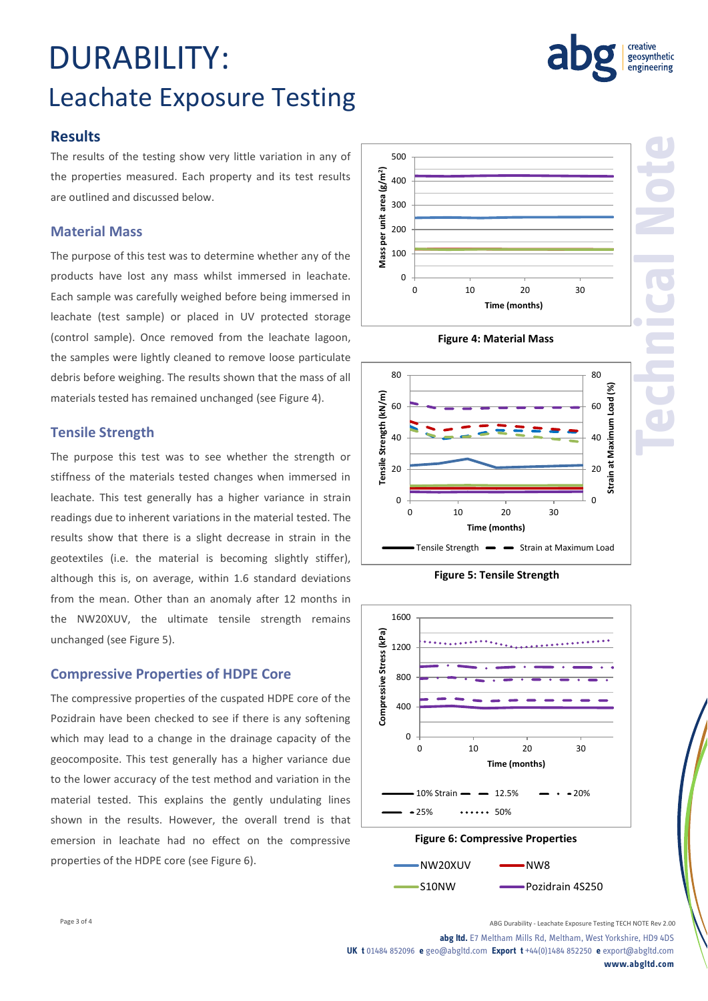## DURABILITY: Leachate Exposure Testing

#### **Results**

The results of the testing show very little variation in any of the properties measured. Each property and its test results are outlined and discussed below.

#### **Material Mass**

The purpose of this test was to determine whether any of the products have lost any mass whilst immersed in leachate. Each sample was carefully weighed before being immersed in leachate (test sample) or placed in UV protected storage (control sample). Once removed from the leachate lagoon, the samples were lightly cleaned to remove loose particulate debris before weighing. The results shown that the mass of all materials tested has remained unchanged (see Figure 4).

#### **Tensile Strength**

The purpose this test was to see whether the strength or stiffness of the materials tested changes when immersed in leachate. This test generally has a higher variance in strain readings due to inherent variations in the material tested. The results show that there is a slight decrease in strain in the geotextiles (i.e. the material is becoming slightly stiffer), although this is, on average, within 1.6 standard deviations from the mean. Other than an anomaly after 12 months in the NW20XUV, the ultimate tensile strength remains unchanged (see Figure 5).

#### **Compressive Properties of HDPE Core**

The compressive properties of the cuspated HDPE core of the Pozidrain have been checked to see if there is any softening which may lead to a change in the drainage capacity of the geocomposite. This test generally has a higher variance due to the lower accuracy of the test method and variation in the material tested. This explains the gently undulating lines shown in the results. However, the overall trend is that emersion in leachate had no effect on the compressive properties of the HDPE core (see Figure 6).